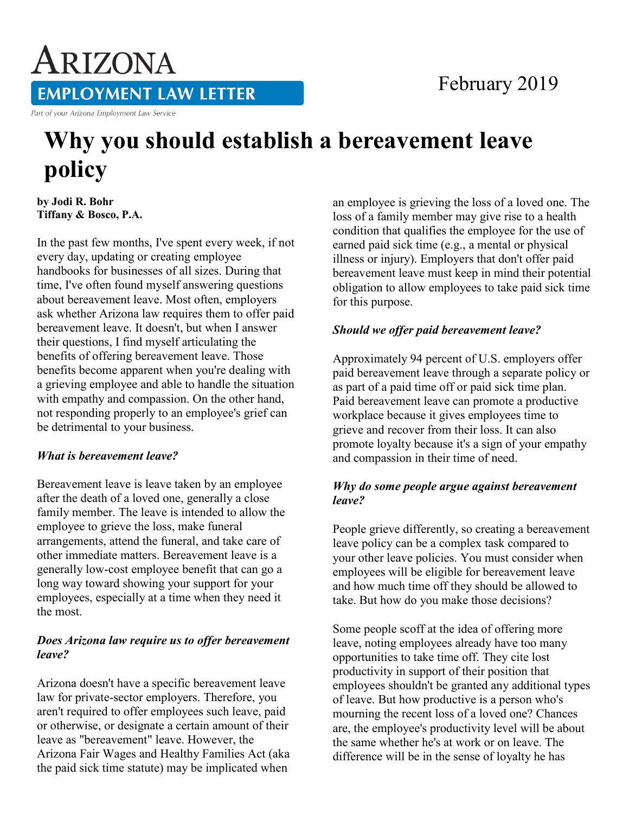# ARIZONA **EMPLOYMENT LAW LETTER**

Part of your Arizona Employment Law Service

## **Why you should establish a bereavement leave policy**

**by Jodi R. Bohr Tiffany & Bosco, P.A.** 

In the past few months, I've spent every week, if not every day, updating or creating employee handbooks for businesses of all sizes. During that time, I've often found myself answering questions about bereavement leave. Most often, employers ask whether Arizona law requires them to offer paid bereavement leave. It doesn't, but when I answer their questions, I find myself articulating the benefits of offering bereavement leave. Those benefits become apparent when you're dealing with a grieving employee and able to handle the situation with empathy and compassion. On the other hand, not responding properly to an employee's grief can be detrimental to your business.

#### *What is bereavement leave?*

Bereavement leave is leave taken by an employee after the death of a loved one, generally a close family member. The leave is intended to allow the employee to grieve the loss, make funeral arrangements, attend the funeral, and take care of other immediate matters. Bereavement leave is a generally low-cost employee benefit that can go a long way toward showing your support for your employees, especially at a time when they need it the most.

#### *Does Arizona law require us to offer bereavement leave?*

Arizona doesn't have a specific bereavement leave law for private-sector employers. Therefore, you aren't required to offer employees such leave, paid or otherwise, or designate a certain amount of their leave as "bereavement" leave. However, the Arizona Fair Wages and Healthy Families Act (aka the paid sick time statute) may be implicated when

an employee is grieving the loss of a loved one. The loss of a family member may give rise to a health condition that qualifies the employee for the use of earned paid sick time (e.g., a mental or physical illness or injury). Employers that don't offer paid bereavement leave must keep in mind their potential obligation to allow employees to take paid sick time for this purpose.

#### *Should we offer paid bereavement leave?*

Approximately 94 percent of U.S. employers offer paid bereavement leave through a separate policy or as part of a paid time off or paid sick time plan. Paid bereavement leave can promote a productive workplace because it gives employees time to grieve and recover from their loss. It can also promote loyalty because it's a sign of your empathy and compassion in their time of need.

#### *Why do some people argue against bereavement leave?*

People grieve differently, so creating a bereavement leave policy can be a complex task compared to your other leave policies. You must consider when employees will be eligible for bereavement leave and how much time off they should be allowed to take. But how do you make those decisions?

Some people scoff at the idea of offering more leave, noting employees already have too many opportunities to take time off. They cite lost productivity in support of their position that employees shouldn't be granted any additional types of leave. But how productive is a person who's mourning the recent loss of a loved one? Chances are, the employee's productivity level will be about the same whether he's at work or on leave. The difference will be in the sense of loyalty he has

### February 2019